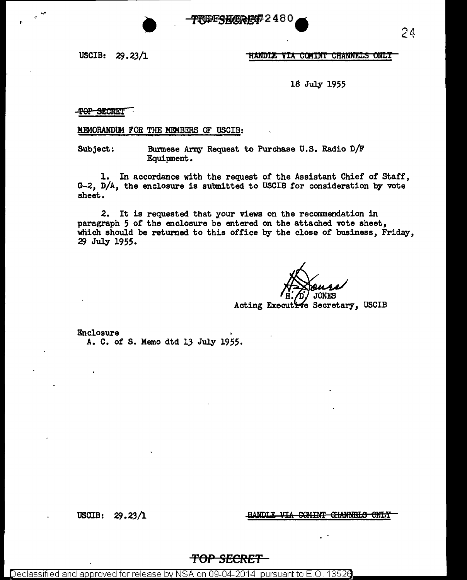2480 PRIFFCAM

 $I^*$ <br>
IISCIB: 20 22 / USCIB: 29. 23/1

....

## **HANDLE** -COMINT CHANNELS **ONLY**

18 July 1955

~0P SEGRE!' ·

MEMORANDUM FOR THE MEMBERS OF USCIB:

Subject: Burmese Army Request to Purchase U.S. Radio  $D/F$ Equipment.

1. In accordance with the request of the Assistant Chief of Staff, G-2, D/A, the enclosure is submitted to USCIB for consideration by vote sheet.

2. It is requested that your views on the recommendation in paragraph 5 of the enclosure be entered on the attached vote sheet, which should be returned to this office by the close of business, Friday, 29 July 1955.

NES

Acting Executive Secretary, USCIB

Enclosure A. C. of S. Memo dtd 13 July 1955.

USCIB:  $29.23/1$ 

<u>ANDLE VIA COMINT GHANNELS ONLY</u>

24

*TOP SECRI* 

Declassified and approved for release by NSA on 09-04-2014 pursuant to E.O. 13526